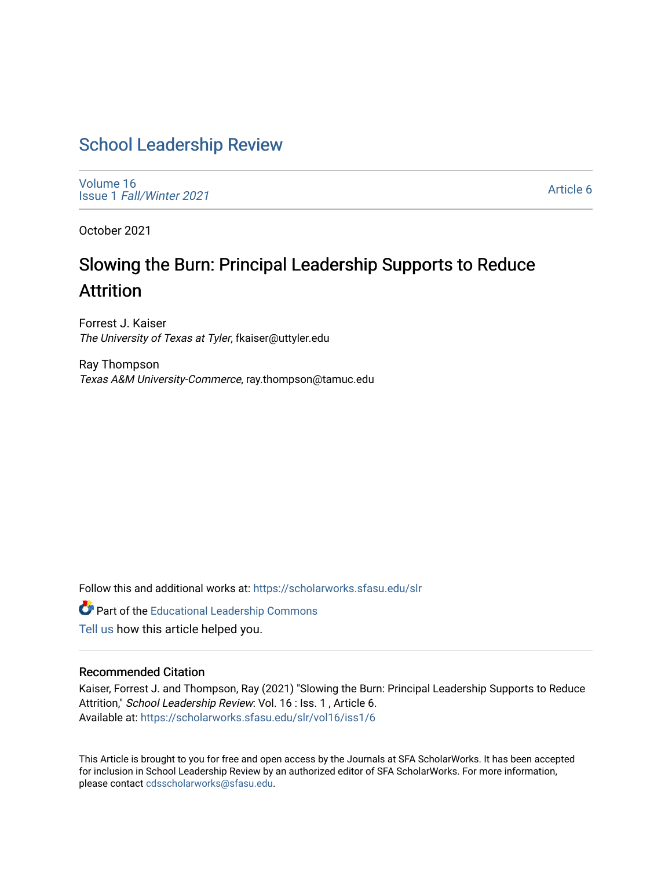# [School Leadership Review](https://scholarworks.sfasu.edu/slr)

[Volume 16](https://scholarworks.sfasu.edu/slr/vol16) Issue 1 [Fall/Winter 2021](https://scholarworks.sfasu.edu/slr/vol16/iss1) 

[Article 6](https://scholarworks.sfasu.edu/slr/vol16/iss1/6) 

October 2021

# Slowing the Burn: Principal Leadership Supports to Reduce Attrition

Forrest J. Kaiser The University of Texas at Tyler, fkaiser@uttyler.edu

Ray Thompson Texas A&M University-Commerce, ray.thompson@tamuc.edu

Follow this and additional works at: [https://scholarworks.sfasu.edu/slr](https://scholarworks.sfasu.edu/slr?utm_source=scholarworks.sfasu.edu%2Fslr%2Fvol16%2Fiss1%2F6&utm_medium=PDF&utm_campaign=PDFCoverPages) 

Part of the [Educational Leadership Commons](http://network.bepress.com/hgg/discipline/1230?utm_source=scholarworks.sfasu.edu%2Fslr%2Fvol16%2Fiss1%2F6&utm_medium=PDF&utm_campaign=PDFCoverPages) 

[Tell us](http://sfasu.qualtrics.com/SE/?SID=SV_0qS6tdXftDLradv) how this article helped you.

#### Recommended Citation

Kaiser, Forrest J. and Thompson, Ray (2021) "Slowing the Burn: Principal Leadership Supports to Reduce Attrition," School Leadership Review: Vol. 16 : Iss. 1, Article 6. Available at: [https://scholarworks.sfasu.edu/slr/vol16/iss1/6](https://scholarworks.sfasu.edu/slr/vol16/iss1/6?utm_source=scholarworks.sfasu.edu%2Fslr%2Fvol16%2Fiss1%2F6&utm_medium=PDF&utm_campaign=PDFCoverPages)

This Article is brought to you for free and open access by the Journals at SFA ScholarWorks. It has been accepted for inclusion in School Leadership Review by an authorized editor of SFA ScholarWorks. For more information, please contact [cdsscholarworks@sfasu.edu.](mailto:cdsscholarworks@sfasu.edu)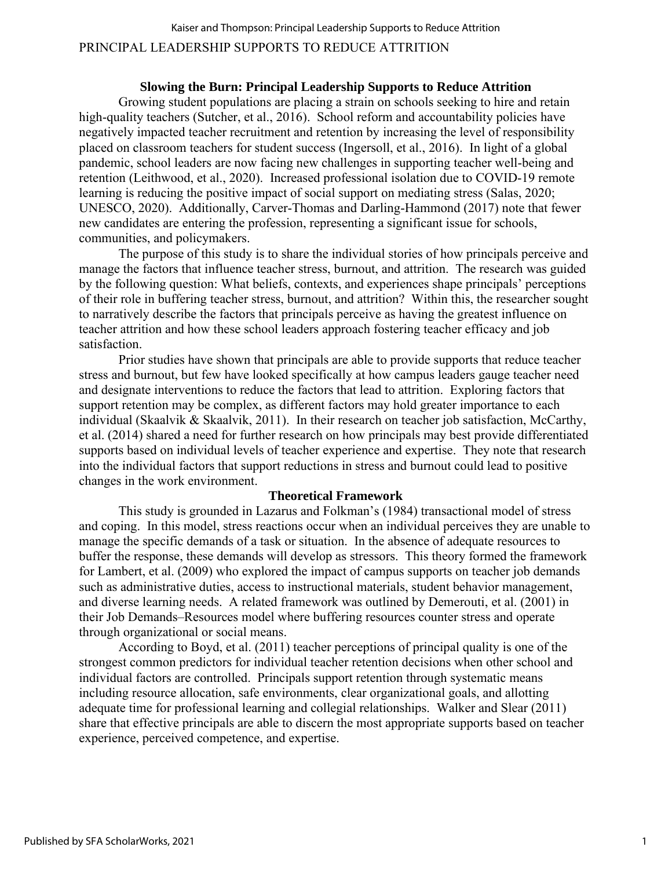# PRINCIPAL LEADERSHIP SUPPORTS TO REDUCE ATTRITION Kaiser and Thompson: Principal Leadership Supports to Reduce Attrition

#### **Slowing the Burn: Principal Leadership Supports to Reduce Attrition**

Growing student populations are placing a strain on schools seeking to hire and retain high-quality teachers (Sutcher, et al., 2016). School reform and accountability policies have negatively impacted teacher recruitment and retention by increasing the level of responsibility placed on classroom teachers for student success (Ingersoll, et al., 2016). In light of a global pandemic, school leaders are now facing new challenges in supporting teacher well-being and retention (Leithwood, et al., 2020). Increased professional isolation due to COVID-19 remote learning is reducing the positive impact of social support on mediating stress (Salas, 2020; UNESCO, 2020). Additionally, Carver-Thomas and Darling-Hammond (2017) note that fewer new candidates are entering the profession, representing a significant issue for schools, communities, and policymakers.

The purpose of this study is to share the individual stories of how principals perceive and manage the factors that influence teacher stress, burnout, and attrition. The research was guided by the following question: What beliefs, contexts, and experiences shape principals' perceptions of their role in buffering teacher stress, burnout, and attrition? Within this, the researcher sought to narratively describe the factors that principals perceive as having the greatest influence on teacher attrition and how these school leaders approach fostering teacher efficacy and job satisfaction.

Prior studies have shown that principals are able to provide supports that reduce teacher stress and burnout, but few have looked specifically at how campus leaders gauge teacher need and designate interventions to reduce the factors that lead to attrition. Exploring factors that support retention may be complex, as different factors may hold greater importance to each individual (Skaalvik & Skaalvik, 2011). In their research on teacher job satisfaction, McCarthy, et al. (2014) shared a need for further research on how principals may best provide differentiated supports based on individual levels of teacher experience and expertise. They note that research into the individual factors that support reductions in stress and burnout could lead to positive changes in the work environment.

#### **Theoretical Framework**

This study is grounded in Lazarus and Folkman's (1984) transactional model of stress and coping. In this model, stress reactions occur when an individual perceives they are unable to manage the specific demands of a task or situation. In the absence of adequate resources to buffer the response, these demands will develop as stressors. This theory formed the framework for Lambert, et al. (2009) who explored the impact of campus supports on teacher job demands such as administrative duties, access to instructional materials, student behavior management, and diverse learning needs. A related framework was outlined by Demerouti, et al. (2001) in their Job Demands–Resources model where buffering resources counter stress and operate through organizational or social means.

According to Boyd, et al. (2011) teacher perceptions of principal quality is one of the strongest common predictors for individual teacher retention decisions when other school and individual factors are controlled. Principals support retention through systematic means including resource allocation, safe environments, clear organizational goals, and allotting adequate time for professional learning and collegial relationships. Walker and Slear (2011) share that effective principals are able to discern the most appropriate supports based on teacher experience, perceived competence, and expertise.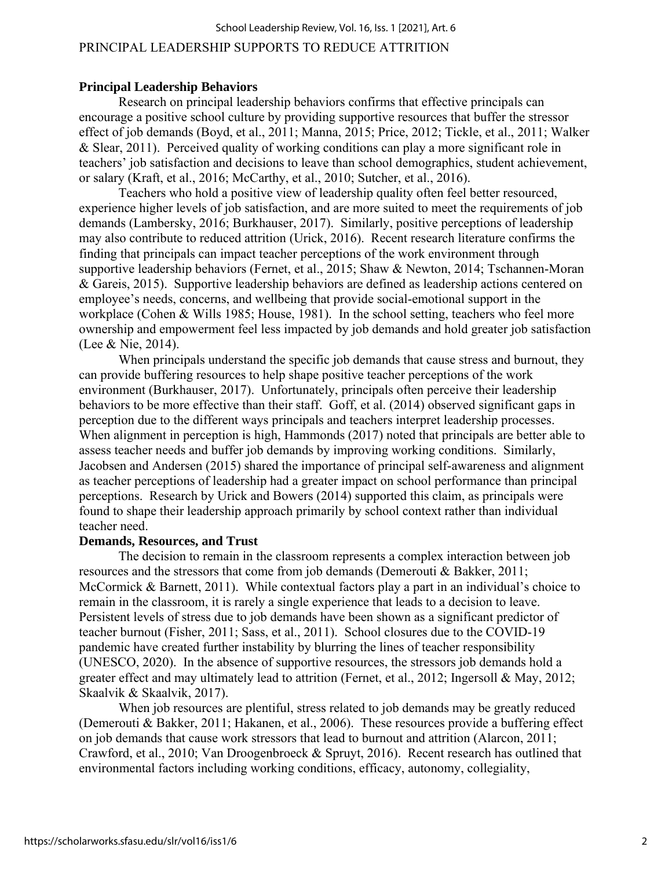#### School Leadership Review, Vol. 16, Iss. 1 [2021], Art. 6

#### PRINCIPAL LEADERSHIP SUPPORTS TO REDUCE ATTRITION

#### **Principal Leadership Behaviors**

Research on principal leadership behaviors confirms that effective principals can encourage a positive school culture by providing supportive resources that buffer the stressor effect of job demands (Boyd, et al., 2011; Manna, 2015; Price, 2012; Tickle, et al., 2011; Walker & Slear, 2011). Perceived quality of working conditions can play a more significant role in teachers' job satisfaction and decisions to leave than school demographics, student achievement, or salary (Kraft, et al., 2016; McCarthy, et al., 2010; Sutcher, et al., 2016).

Teachers who hold a positive view of leadership quality often feel better resourced, experience higher levels of job satisfaction, and are more suited to meet the requirements of job demands (Lambersky, 2016; Burkhauser, 2017). Similarly, positive perceptions of leadership may also contribute to reduced attrition (Urick, 2016). Recent research literature confirms the finding that principals can impact teacher perceptions of the work environment through supportive leadership behaviors (Fernet, et al., 2015; Shaw & Newton, 2014; Tschannen-Moran & Gareis, 2015). Supportive leadership behaviors are defined as leadership actions centered on employee's needs, concerns, and wellbeing that provide social-emotional support in the workplace (Cohen & Wills 1985; House, 1981). In the school setting, teachers who feel more ownership and empowerment feel less impacted by job demands and hold greater job satisfaction (Lee & Nie, 2014).

When principals understand the specific job demands that cause stress and burnout, they can provide buffering resources to help shape positive teacher perceptions of the work environment (Burkhauser, 2017). Unfortunately, principals often perceive their leadership behaviors to be more effective than their staff. Goff, et al. (2014) observed significant gaps in perception due to the different ways principals and teachers interpret leadership processes. When alignment in perception is high, Hammonds (2017) noted that principals are better able to assess teacher needs and buffer job demands by improving working conditions. Similarly, Jacobsen and Andersen (2015) shared the importance of principal self-awareness and alignment as teacher perceptions of leadership had a greater impact on school performance than principal perceptions. Research by Urick and Bowers (2014) supported this claim, as principals were found to shape their leadership approach primarily by school context rather than individual teacher need.

#### **Demands, Resources, and Trust**

The decision to remain in the classroom represents a complex interaction between job resources and the stressors that come from job demands (Demerouti & Bakker, 2011; McCormick & Barnett, 2011). While contextual factors play a part in an individual's choice to remain in the classroom, it is rarely a single experience that leads to a decision to leave. Persistent levels of stress due to job demands have been shown as a significant predictor of teacher burnout (Fisher, 2011; Sass, et al., 2011). School closures due to the COVID-19 pandemic have created further instability by blurring the lines of teacher responsibility (UNESCO, 2020). In the absence of supportive resources, the stressors job demands hold a greater effect and may ultimately lead to attrition (Fernet, et al., 2012; Ingersoll & May, 2012; Skaalvik & Skaalvik, 2017).

When job resources are plentiful, stress related to job demands may be greatly reduced (Demerouti & Bakker, 2011; Hakanen, et al., 2006). These resources provide a buffering effect on job demands that cause work stressors that lead to burnout and attrition (Alarcon, 2011; Crawford, et al., 2010; Van Droogenbroeck & Spruyt, 2016). Recent research has outlined that environmental factors including working conditions, efficacy, autonomy, collegiality,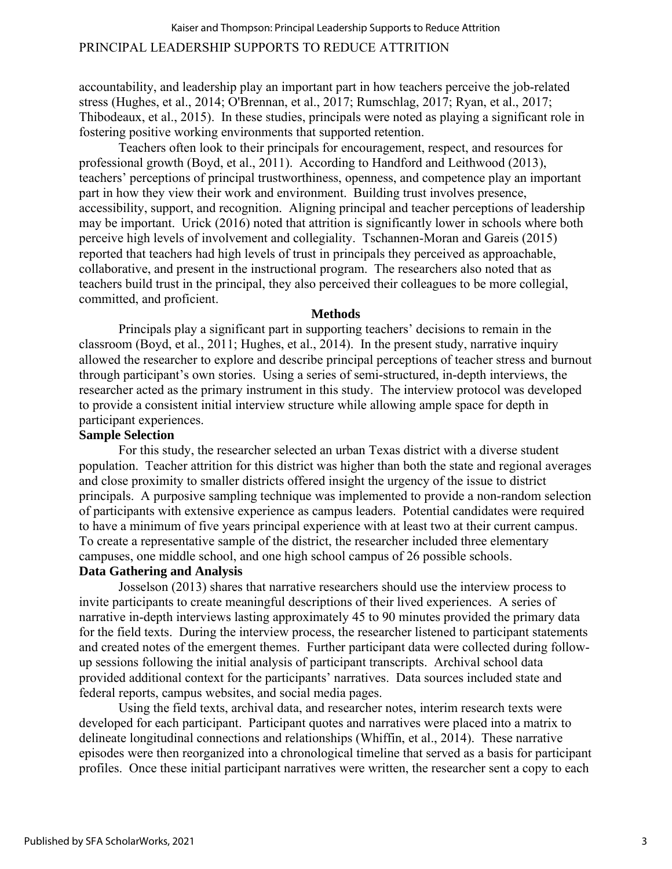accountability, and leadership play an important part in how teachers perceive the job-related stress (Hughes, et al., 2014; O'Brennan, et al., 2017; Rumschlag, 2017; Ryan, et al., 2017; Thibodeaux, et al., 2015). In these studies, principals were noted as playing a significant role in fostering positive working environments that supported retention.

Teachers often look to their principals for encouragement, respect, and resources for professional growth (Boyd, et al., 2011). According to Handford and Leithwood (2013), teachers' perceptions of principal trustworthiness, openness, and competence play an important part in how they view their work and environment. Building trust involves presence, accessibility, support, and recognition. Aligning principal and teacher perceptions of leadership may be important. Urick (2016) noted that attrition is significantly lower in schools where both perceive high levels of involvement and collegiality. Tschannen-Moran and Gareis (2015) reported that teachers had high levels of trust in principals they perceived as approachable, collaborative, and present in the instructional program. The researchers also noted that as teachers build trust in the principal, they also perceived their colleagues to be more collegial, committed, and proficient.

#### **Methods**

Principals play a significant part in supporting teachers' decisions to remain in the classroom (Boyd, et al., 2011; Hughes, et al., 2014). In the present study, narrative inquiry allowed the researcher to explore and describe principal perceptions of teacher stress and burnout through participant's own stories. Using a series of semi-structured, in-depth interviews, the researcher acted as the primary instrument in this study. The interview protocol was developed to provide a consistent initial interview structure while allowing ample space for depth in participant experiences.

# **Sample Selection**

For this study, the researcher selected an urban Texas district with a diverse student population. Teacher attrition for this district was higher than both the state and regional averages and close proximity to smaller districts offered insight the urgency of the issue to district principals. A purposive sampling technique was implemented to provide a non-random selection of participants with extensive experience as campus leaders. Potential candidates were required to have a minimum of five years principal experience with at least two at their current campus. To create a representative sample of the district, the researcher included three elementary campuses, one middle school, and one high school campus of 26 possible schools.

# **Data Gathering and Analysis**

Josselson (2013) shares that narrative researchers should use the interview process to invite participants to create meaningful descriptions of their lived experiences. A series of narrative in-depth interviews lasting approximately 45 to 90 minutes provided the primary data for the field texts. During the interview process, the researcher listened to participant statements and created notes of the emergent themes. Further participant data were collected during followup sessions following the initial analysis of participant transcripts. Archival school data provided additional context for the participants' narratives. Data sources included state and federal reports, campus websites, and social media pages.

Using the field texts, archival data, and researcher notes, interim research texts were developed for each participant. Participant quotes and narratives were placed into a matrix to delineate longitudinal connections and relationships (Whiffin, et al., 2014). These narrative episodes were then reorganized into a chronological timeline that served as a basis for participant profiles. Once these initial participant narratives were written, the researcher sent a copy to each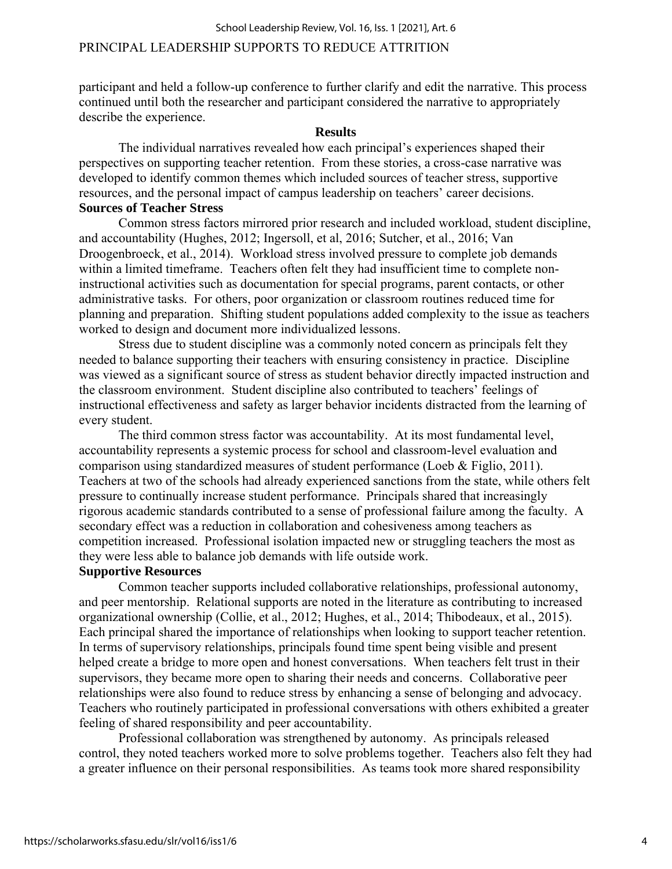participant and held a follow-up conference to further clarify and edit the narrative. This process continued until both the researcher and participant considered the narrative to appropriately describe the experience.

#### **Results**

The individual narratives revealed how each principal's experiences shaped their perspectives on supporting teacher retention. From these stories, a cross-case narrative was developed to identify common themes which included sources of teacher stress, supportive resources, and the personal impact of campus leadership on teachers' career decisions. **Sources of Teacher Stress**

Common stress factors mirrored prior research and included workload, student discipline, and accountability (Hughes, 2012; Ingersoll, et al, 2016; Sutcher, et al., 2016; Van Droogenbroeck, et al., 2014). Workload stress involved pressure to complete job demands within a limited timeframe. Teachers often felt they had insufficient time to complete noninstructional activities such as documentation for special programs, parent contacts, or other administrative tasks. For others, poor organization or classroom routines reduced time for planning and preparation. Shifting student populations added complexity to the issue as teachers worked to design and document more individualized lessons.

Stress due to student discipline was a commonly noted concern as principals felt they needed to balance supporting their teachers with ensuring consistency in practice. Discipline was viewed as a significant source of stress as student behavior directly impacted instruction and the classroom environment. Student discipline also contributed to teachers' feelings of instructional effectiveness and safety as larger behavior incidents distracted from the learning of every student.

The third common stress factor was accountability. At its most fundamental level, accountability represents a systemic process for school and classroom-level evaluation and comparison using standardized measures of student performance (Loeb & Figlio, 2011). Teachers at two of the schools had already experienced sanctions from the state, while others felt pressure to continually increase student performance. Principals shared that increasingly rigorous academic standards contributed to a sense of professional failure among the faculty. A secondary effect was a reduction in collaboration and cohesiveness among teachers as competition increased. Professional isolation impacted new or struggling teachers the most as they were less able to balance job demands with life outside work.

#### **Supportive Resources**

Common teacher supports included collaborative relationships, professional autonomy, and peer mentorship. Relational supports are noted in the literature as contributing to increased organizational ownership (Collie, et al., 2012; Hughes, et al., 2014; Thibodeaux, et al., 2015). Each principal shared the importance of relationships when looking to support teacher retention. In terms of supervisory relationships, principals found time spent being visible and present helped create a bridge to more open and honest conversations. When teachers felt trust in their supervisors, they became more open to sharing their needs and concerns. Collaborative peer relationships were also found to reduce stress by enhancing a sense of belonging and advocacy. Teachers who routinely participated in professional conversations with others exhibited a greater feeling of shared responsibility and peer accountability.

Professional collaboration was strengthened by autonomy. As principals released control, they noted teachers worked more to solve problems together. Teachers also felt they had a greater influence on their personal responsibilities. As teams took more shared responsibility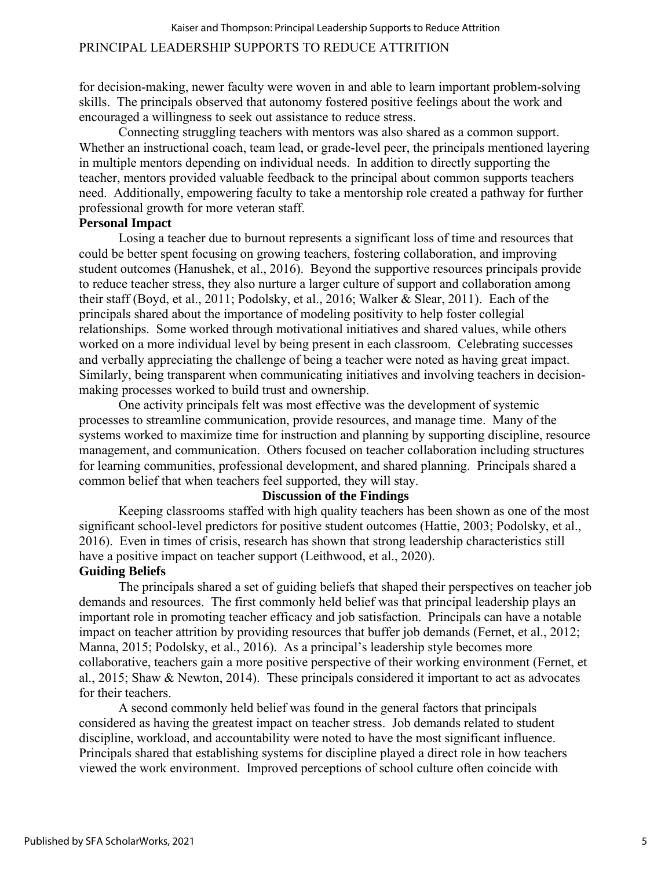for decision-making, newer faculty were woven in and able to learn important problem-solving skills. The principals observed that autonomy fostered positive feelings about the work and encouraged a willingness to seek out assistance to reduce stress.

Connecting struggling teachers with mentors was also shared as a common support. Whether an instructional coach, team lead, or grade-level peer, the principals mentioned layering in multiple mentors depending on individual needs. In addition to directly supporting the teacher, mentors provided valuable feedback to the principal about common supports teachers need. Additionally, empowering faculty to take a mentorship role created a pathway for further professional growth for more veteran staff.

# **Personal Impact**

Losing a teacher due to burnout represents a significant loss of time and resources that could be better spent focusing on growing teachers, fostering collaboration, and improving student outcomes (Hanushek, et al., 2016). Beyond the supportive resources principals provide to reduce teacher stress, they also nurture a larger culture of support and collaboration among their staff (Boyd, et al., 2011; Podolsky, et al., 2016; Walker & Slear, 2011). Each of the principals shared about the importance of modeling positivity to help foster collegial relationships. Some worked through motivational initiatives and shared values, while others worked on a more individual level by being present in each classroom. Celebrating successes and verbally appreciating the challenge of being a teacher were noted as having great impact. Similarly, being transparent when communicating initiatives and involving teachers in decisionmaking processes worked to build trust and ownership.

One activity principals felt was most effective was the development of systemic processes to streamline communication, provide resources, and manage time. Many of the systems worked to maximize time for instruction and planning by supporting discipline, resource management, and communication. Others focused on teacher collaboration including structures for learning communities, professional development, and shared planning. Principals shared a common belief that when teachers feel supported, they will stay.

# **Discussion of the Findings**

Keeping classrooms staffed with high quality teachers has been shown as one of the most significant school-level predictors for positive student outcomes (Hattie, 2003; Podolsky, et al., 2016). Even in times of crisis, research has shown that strong leadership characteristics still have a positive impact on teacher support (Leithwood, et al., 2020).

# **Guiding Beliefs**

The principals shared a set of guiding beliefs that shaped their perspectives on teacher job demands and resources. The first commonly held belief was that principal leadership plays an important role in promoting teacher efficacy and job satisfaction. Principals can have a notable impact on teacher attrition by providing resources that buffer job demands (Fernet, et al., 2012; Manna, 2015; Podolsky, et al., 2016). As a principal's leadership style becomes more collaborative, teachers gain a more positive perspective of their working environment (Fernet, et al., 2015; Shaw & Newton, 2014). These principals considered it important to act as advocates for their teachers.

A second commonly held belief was found in the general factors that principals considered as having the greatest impact on teacher stress. Job demands related to student discipline, workload, and accountability were noted to have the most significant influence. Principals shared that establishing systems for discipline played a direct role in how teachers viewed the work environment. Improved perceptions of school culture often coincide with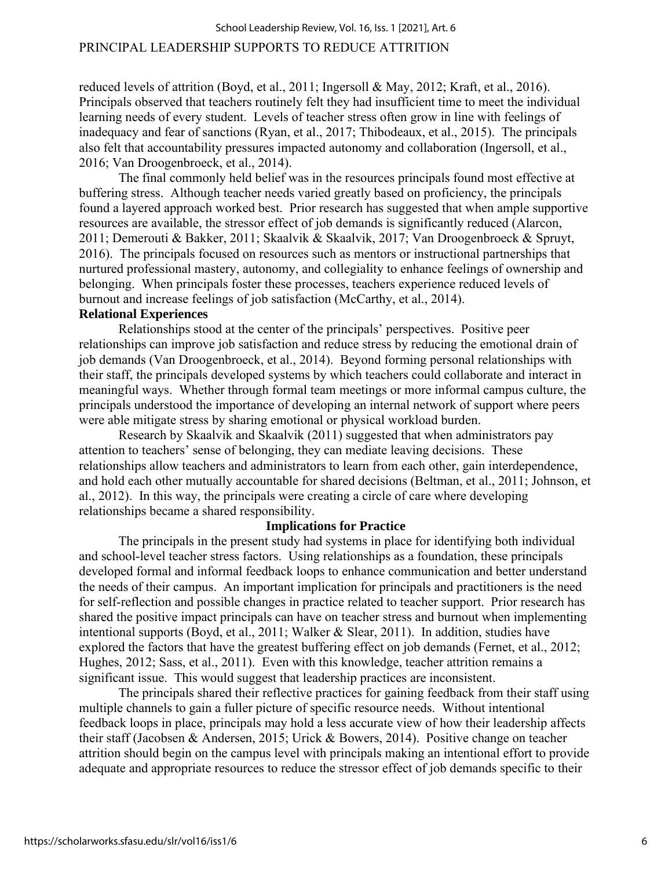#### School Leadership Review, Vol. 16, Iss. 1 [2021], Art. 6

#### PRINCIPAL LEADERSHIP SUPPORTS TO REDUCE ATTRITION

reduced levels of attrition (Boyd, et al., 2011; Ingersoll & May, 2012; Kraft, et al., 2016). Principals observed that teachers routinely felt they had insufficient time to meet the individual learning needs of every student. Levels of teacher stress often grow in line with feelings of inadequacy and fear of sanctions (Ryan, et al., 2017; Thibodeaux, et al., 2015). The principals also felt that accountability pressures impacted autonomy and collaboration (Ingersoll, et al., 2016; Van Droogenbroeck, et al., 2014).

The final commonly held belief was in the resources principals found most effective at buffering stress. Although teacher needs varied greatly based on proficiency, the principals found a layered approach worked best. Prior research has suggested that when ample supportive resources are available, the stressor effect of job demands is significantly reduced (Alarcon, 2011; Demerouti & Bakker, 2011; Skaalvik & Skaalvik, 2017; Van Droogenbroeck & Spruyt, 2016). The principals focused on resources such as mentors or instructional partnerships that nurtured professional mastery, autonomy, and collegiality to enhance feelings of ownership and belonging. When principals foster these processes, teachers experience reduced levels of burnout and increase feelings of job satisfaction (McCarthy, et al., 2014).

# **Relational Experiences**

Relationships stood at the center of the principals' perspectives. Positive peer relationships can improve job satisfaction and reduce stress by reducing the emotional drain of job demands (Van Droogenbroeck, et al., 2014). Beyond forming personal relationships with their staff, the principals developed systems by which teachers could collaborate and interact in meaningful ways. Whether through formal team meetings or more informal campus culture, the principals understood the importance of developing an internal network of support where peers were able mitigate stress by sharing emotional or physical workload burden.

Research by Skaalvik and Skaalvik (2011) suggested that when administrators pay attention to teachers' sense of belonging, they can mediate leaving decisions. These relationships allow teachers and administrators to learn from each other, gain interdependence, and hold each other mutually accountable for shared decisions (Beltman, et al., 2011; Johnson, et al., 2012). In this way, the principals were creating a circle of care where developing relationships became a shared responsibility.

#### **Implications for Practice**

The principals in the present study had systems in place for identifying both individual and school-level teacher stress factors. Using relationships as a foundation, these principals developed formal and informal feedback loops to enhance communication and better understand the needs of their campus. An important implication for principals and practitioners is the need for self-reflection and possible changes in practice related to teacher support. Prior research has shared the positive impact principals can have on teacher stress and burnout when implementing intentional supports (Boyd, et al., 2011; Walker & Slear, 2011). In addition, studies have explored the factors that have the greatest buffering effect on job demands (Fernet, et al., 2012; Hughes, 2012; Sass, et al., 2011). Even with this knowledge, teacher attrition remains a significant issue. This would suggest that leadership practices are inconsistent.

The principals shared their reflective practices for gaining feedback from their staff using multiple channels to gain a fuller picture of specific resource needs. Without intentional feedback loops in place, principals may hold a less accurate view of how their leadership affects their staff (Jacobsen & Andersen, 2015; Urick & Bowers, 2014). Positive change on teacher attrition should begin on the campus level with principals making an intentional effort to provide adequate and appropriate resources to reduce the stressor effect of job demands specific to their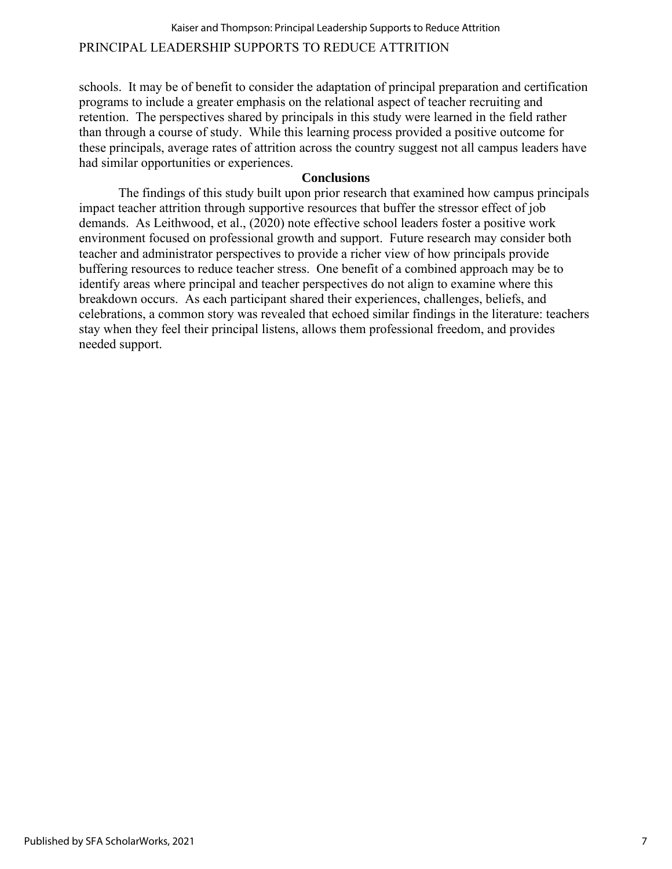# PRINCIPAL LEADERSHIP SUPPORTS TO REDUCE ATTRITION Kaiser and Thompson: Principal Leadership Supports to Reduce Attrition

schools. It may be of benefit to consider the adaptation of principal preparation and certification programs to include a greater emphasis on the relational aspect of teacher recruiting and retention. The perspectives shared by principals in this study were learned in the field rather than through a course of study. While this learning process provided a positive outcome for these principals, average rates of attrition across the country suggest not all campus leaders have had similar opportunities or experiences.

#### **Conclusions**

The findings of this study built upon prior research that examined how campus principals impact teacher attrition through supportive resources that buffer the stressor effect of job demands. As Leithwood, et al., (2020) note effective school leaders foster a positive work environment focused on professional growth and support. Future research may consider both teacher and administrator perspectives to provide a richer view of how principals provide buffering resources to reduce teacher stress. One benefit of a combined approach may be to identify areas where principal and teacher perspectives do not align to examine where this breakdown occurs. As each participant shared their experiences, challenges, beliefs, and celebrations, a common story was revealed that echoed similar findings in the literature: teachers stay when they feel their principal listens, allows them professional freedom, and provides needed support.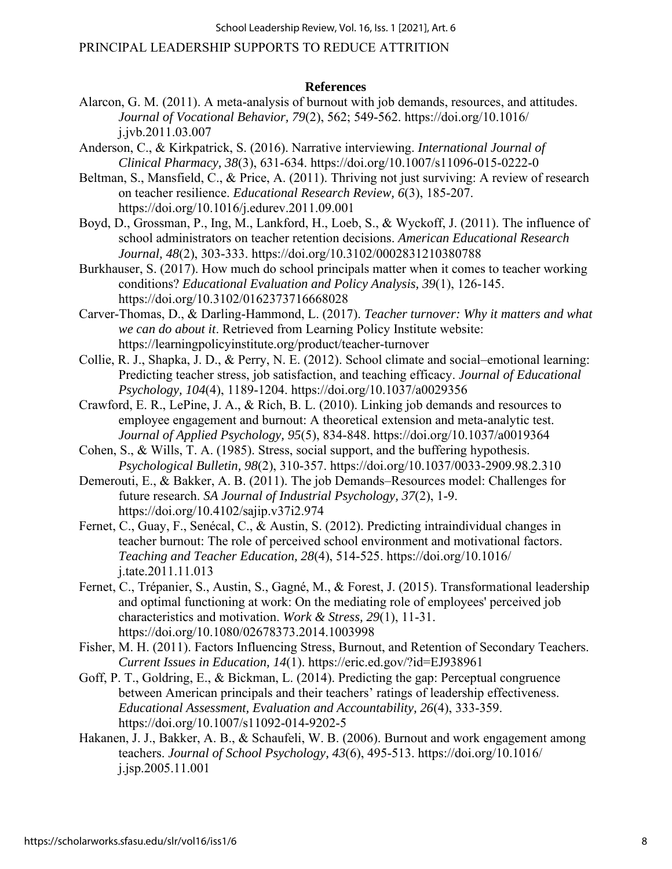School Leadership Review, Vol. 16, Iss. 1 [2021], Art. 6

# PRINCIPAL LEADERSHIP SUPPORTS TO REDUCE ATTRITION

#### **References**

- Alarcon, G. M. (2011). A meta-analysis of burnout with job demands, resources, and attitudes. *Journal of Vocational Behavior, 79*(2), 562; 549-562. https://doi.org/10.1016/ j.jvb.2011.03.007
- Anderson, C., & Kirkpatrick, S. (2016). Narrative interviewing. *International Journal of Clinical Pharmacy, 38*(3), 631-634. https://doi.org/10.1007/s11096-015-0222-0
- Beltman, S., Mansfield, C., & Price, A. (2011). Thriving not just surviving: A review of research on teacher resilience. *Educational Research Review, 6*(3), 185-207. https://doi.org/10.1016/j.edurev.2011.09.001
- Boyd, D., Grossman, P., Ing, M., Lankford, H., Loeb, S., & Wyckoff, J. (2011). The influence of school administrators on teacher retention decisions. *American Educational Research Journal, 48*(2), 303-333. https://doi.org/10.3102/0002831210380788
- Burkhauser, S. (2017). How much do school principals matter when it comes to teacher working conditions? *Educational Evaluation and Policy Analysis, 39*(1), 126-145. https://doi.org/10.3102/0162373716668028
- Carver-Thomas, D., & Darling-Hammond, L. (2017). *Teacher turnover: Why it matters and what we can do about it*. Retrieved from Learning Policy Institute website: https://learningpolicyinstitute.org/product/teacher-turnover
- Collie, R. J., Shapka, J. D., & Perry, N. E. (2012). School climate and social–emotional learning: Predicting teacher stress, job satisfaction, and teaching efficacy. *Journal of Educational Psychology, 104*(4), 1189-1204. https://doi.org/10.1037/a0029356
- Crawford, E. R., LePine, J. A., & Rich, B. L. (2010). Linking job demands and resources to employee engagement and burnout: A theoretical extension and meta-analytic test. *Journal of Applied Psychology, 95*(5), 834-848. https://doi.org/10.1037/a0019364
- Cohen, S., & Wills, T. A. (1985). Stress, social support, and the buffering hypothesis. *Psychological Bulletin, 98*(2), 310-357. https://doi.org/10.1037/0033-2909.98.2.310
- Demerouti, E., & Bakker, A. B. (2011). The job Demands–Resources model: Challenges for future research. *SA Journal of Industrial Psychology, 37*(2), 1-9. https://doi.org/10.4102/sajip.v37i2.974
- Fernet, C., Guay, F., Senécal, C., & Austin, S. (2012). Predicting intraindividual changes in teacher burnout: The role of perceived school environment and motivational factors. *Teaching and Teacher Education, 28*(4), 514-525. https://doi.org/10.1016/ j.tate.2011.11.013
- Fernet, C., Trépanier, S., Austin, S., Gagné, M., & Forest, J. (2015). Transformational leadership and optimal functioning at work: On the mediating role of employees' perceived job characteristics and motivation. *Work & Stress, 29*(1), 11-31. https://doi.org/10.1080/02678373.2014.1003998
- Fisher, M. H. (2011). Factors Influencing Stress, Burnout, and Retention of Secondary Teachers. *Current Issues in Education, 14*(1). https://eric.ed.gov/?id=EJ938961
- Goff, P. T., Goldring, E., & Bickman, L. (2014). Predicting the gap: Perceptual congruence between American principals and their teachers' ratings of leadership effectiveness. *Educational Assessment, Evaluation and Accountability, 26*(4), 333-359. https://doi.org/10.1007/s11092-014-9202-5
- Hakanen, J. J., Bakker, A. B., & Schaufeli, W. B. (2006). Burnout and work engagement among teachers. *Journal of School Psychology, 43*(6), 495-513. https://doi.org/10.1016/ j.jsp.2005.11.001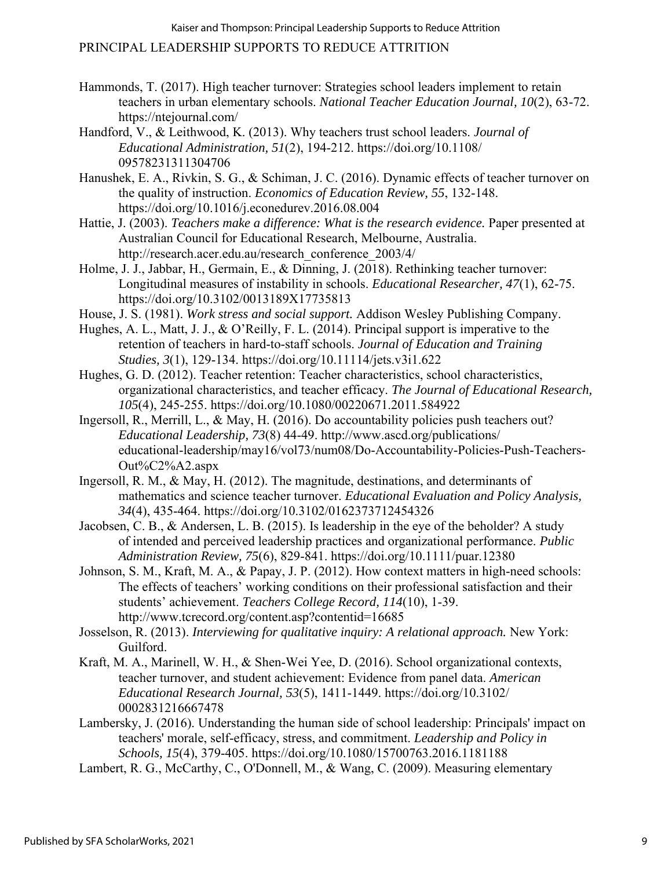- Hammonds, T. (2017). High teacher turnover: Strategies school leaders implement to retain teachers in urban elementary schools. *National Teacher Education Journal, 10*(2), 63-72. https://ntejournal.com/
- Handford, V., & Leithwood, K. (2013). Why teachers trust school leaders. *Journal of Educational Administration, 51*(2), 194-212. https://doi.org/10.1108/ 09578231311304706
- Hanushek, E. A., Rivkin, S. G., & Schiman, J. C. (2016). Dynamic effects of teacher turnover on the quality of instruction. *Economics of Education Review, 55*, 132-148. https://doi.org/10.1016/j.econedurev.2016.08.004
- Hattie, J. (2003). *Teachers make a difference: What is the research evidence.* Paper presented at Australian Council for Educational Research, Melbourne, Australia. http://research.acer.edu.au/research\_conference\_2003/4/
- Holme, J. J., Jabbar, H., Germain, E., & Dinning, J. (2018). Rethinking teacher turnover: Longitudinal measures of instability in schools. *Educational Researcher, 47*(1), 62-75. https://doi.org/10.3102/0013189X17735813
- House, J. S. (1981). *Work stress and social support.* Addison Wesley Publishing Company.
- Hughes, A. L., Matt, J. J., & O'Reilly, F. L. (2014). Principal support is imperative to the retention of teachers in hard-to-staff schools. *Journal of Education and Training Studies, 3*(1), 129-134. https://doi.org/10.11114/jets.v3i1.622
- Hughes, G. D. (2012). Teacher retention: Teacher characteristics, school characteristics, organizational characteristics, and teacher efficacy. *The Journal of Educational Research, 105*(4), 245-255. https://doi.org/10.1080/00220671.2011.584922
- Ingersoll, R., Merrill, L., & May, H. (2016). Do accountability policies push teachers out? *Educational Leadership, 73*(8) 44-49. http://www.ascd.org/publications/ educational-leadership/may16/vol73/num08/Do-Accountability-Policies-Push-Teachers-Out%C2%A2.aspx
- Ingersoll, R. M., & May, H. (2012). The magnitude, destinations, and determinants of mathematics and science teacher turnover. *Educational Evaluation and Policy Analysis, 34*(4), 435-464. https://doi.org/10.3102/0162373712454326
- Jacobsen, C. B., & Andersen, L. B. (2015). Is leadership in the eye of the beholder? A study of intended and perceived leadership practices and organizational performance. *Public Administration Review, 75*(6), 829-841. https://doi.org/10.1111/puar.12380
- Johnson, S. M., Kraft, M. A., & Papay, J. P. (2012). How context matters in high-need schools: The effects of teachers' working conditions on their professional satisfaction and their students' achievement. *Teachers College Record, 114*(10), 1-39. http://www.tcrecord.org/content.asp?contentid=16685
- Josselson, R. (2013). *Interviewing for qualitative inquiry: A relational approach.* New York: Guilford.
- Kraft, M. A., Marinell, W. H., & Shen-Wei Yee, D. (2016). School organizational contexts, teacher turnover, and student achievement: Evidence from panel data. *American Educational Research Journal, 53*(5), 1411-1449. https://doi.org/10.3102/ 0002831216667478
- Lambersky, J. (2016). Understanding the human side of school leadership: Principals' impact on teachers' morale, self-efficacy, stress, and commitment. *Leadership and Policy in Schools, 15*(4), 379-405. https://doi.org/10.1080/15700763.2016.1181188
- Lambert, R. G., McCarthy, C., O'Donnell, M., & Wang, C. (2009). Measuring elementary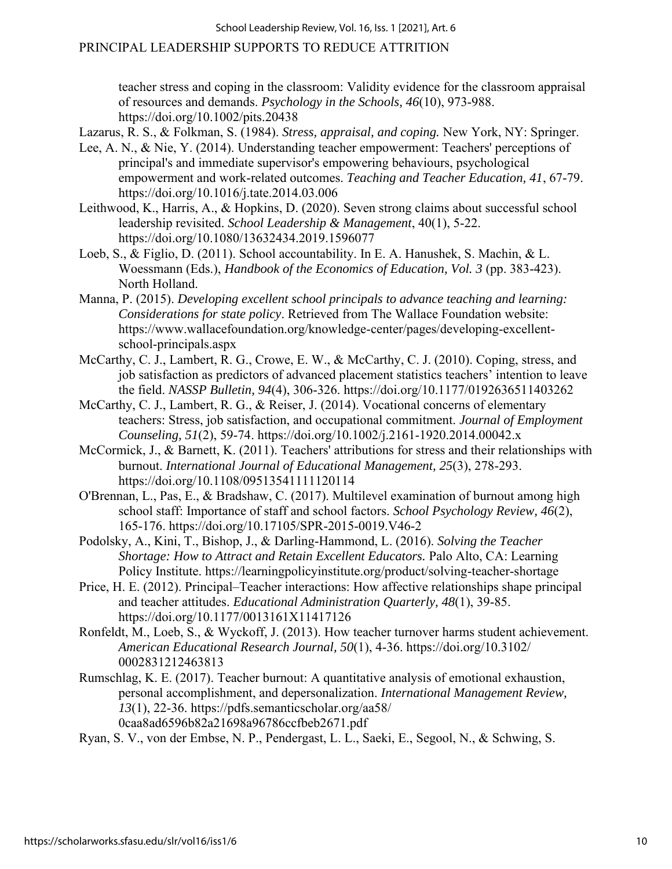teacher stress and coping in the classroom: Validity evidence for the classroom appraisal of resources and demands. *Psychology in the Schools, 46*(10), 973-988. https://doi.org/10.1002/pits.20438

Lazarus, R. S., & Folkman, S. (1984). *Stress, appraisal, and coping.* New York, NY: Springer.

- Lee, A. N., & Nie, Y. (2014). Understanding teacher empowerment: Teachers' perceptions of principal's and immediate supervisor's empowering behaviours, psychological empowerment and work-related outcomes. *Teaching and Teacher Education, 41*, 67-79. https://doi.org/10.1016/j.tate.2014.03.006
- Leithwood, K., Harris, A., & Hopkins, D. (2020). Seven strong claims about successful school leadership revisited. *School Leadership & Management*, 40(1), 5-22. https://doi.org/10.1080/13632434.2019.1596077
- Loeb, S., & Figlio, D. (2011). School accountability. In E. A. Hanushek, S. Machin, & L. Woessmann (Eds.), *Handbook of the Economics of Education, Vol. 3* (pp. 383-423). North Holland.
- Manna, P. (2015). *Developing excellent school principals to advance teaching and learning: Considerations for state policy*. Retrieved from The Wallace Foundation website: https://www.wallacefoundation.org/knowledge-center/pages/developing-excellentschool-principals.aspx
- McCarthy, C. J., Lambert, R. G., Crowe, E. W., & McCarthy, C. J. (2010). Coping, stress, and job satisfaction as predictors of advanced placement statistics teachers' intention to leave the field. *NASSP Bulletin, 94*(4), 306-326. https://doi.org/10.1177/0192636511403262
- McCarthy, C. J., Lambert, R. G., & Reiser, J. (2014). Vocational concerns of elementary teachers: Stress, job satisfaction, and occupational commitment. *Journal of Employment Counseling, 51*(2), 59-74. https://doi.org/10.1002/j.2161-1920.2014.00042.x
- McCormick, J., & Barnett, K. (2011). Teachers' attributions for stress and their relationships with burnout. *International Journal of Educational Management, 25*(3), 278-293. https://doi.org/10.1108/09513541111120114
- O'Brennan, L., Pas, E., & Bradshaw, C. (2017). Multilevel examination of burnout among high school staff: Importance of staff and school factors. *School Psychology Review, 46*(2), 165-176. https://doi.org/10.17105/SPR-2015-0019.V46-2
- Podolsky, A., Kini, T., Bishop, J., & Darling-Hammond, L. (2016). *Solving the Teacher Shortage: How to Attract and Retain Excellent Educators.* Palo Alto, CA: Learning Policy Institute. https://learningpolicyinstitute.org/product/solving-teacher-shortage
- Price, H. E. (2012). Principal–Teacher interactions: How affective relationships shape principal and teacher attitudes. *Educational Administration Quarterly, 48*(1), 39-85. https://doi.org/10.1177/0013161X11417126
- Ronfeldt, M., Loeb, S., & Wyckoff, J. (2013). How teacher turnover harms student achievement. *American Educational Research Journal, 50*(1), 4-36. https://doi.org/10.3102/ 0002831212463813
- Rumschlag, K. E. (2017). Teacher burnout: A quantitative analysis of emotional exhaustion, personal accomplishment, and depersonalization. *International Management Review, 13*(1), 22-36. https://pdfs.semanticscholar.org/aa58/ 0caa8ad6596b82a21698a96786ccfbeb2671.pdf
- Ryan, S. V., von der Embse, N. P., Pendergast, L. L., Saeki, E., Segool, N., & Schwing, S.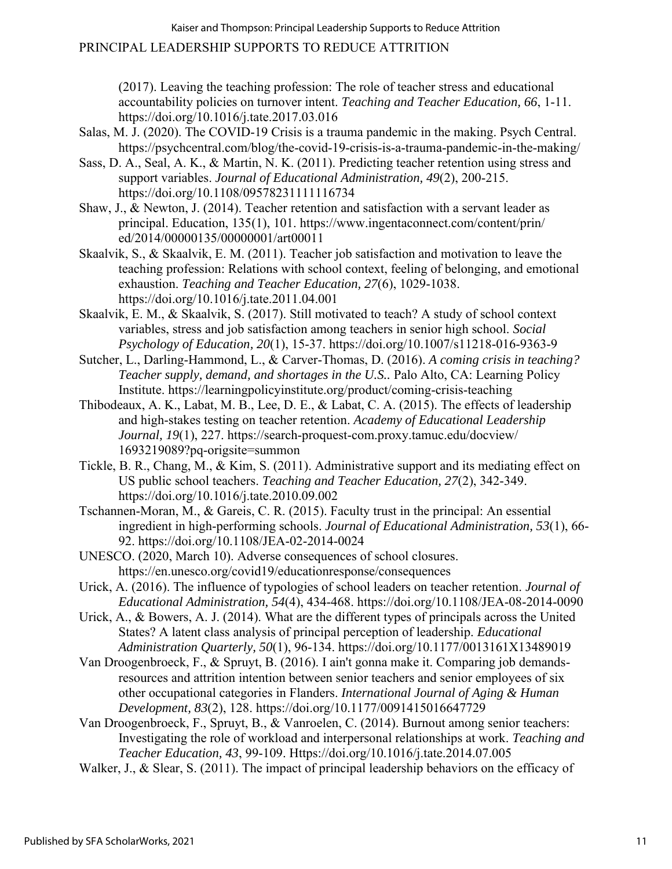(2017). Leaving the teaching profession: The role of teacher stress and educational accountability policies on turnover intent. *Teaching and Teacher Education, 66*, 1-11. https://doi.org/10.1016/j.tate.2017.03.016

- Salas, M. J. (2020). The COVID-19 Crisis is a trauma pandemic in the making. Psych Central. https://psychcentral.com/blog/the-covid-19-crisis-is-a-trauma-pandemic-in-the-making/
- Sass, D. A., Seal, A. K., & Martin, N. K. (2011). Predicting teacher retention using stress and support variables. *Journal of Educational Administration, 49*(2), 200-215. https://doi.org/10.1108/09578231111116734
- Shaw, J., & Newton, J. (2014). Teacher retention and satisfaction with a servant leader as principal. Education, 135(1), 101. https://www.ingentaconnect.com/content/prin/ ed/2014/00000135/00000001/art00011
- Skaalvik, S., & Skaalvik, E. M. (2011). Teacher job satisfaction and motivation to leave the teaching profession: Relations with school context, feeling of belonging, and emotional exhaustion. *Teaching and Teacher Education, 27*(6), 1029-1038. https://doi.org/10.1016/j.tate.2011.04.001
- Skaalvik, E. M., & Skaalvik, S. (2017). Still motivated to teach? A study of school context variables, stress and job satisfaction among teachers in senior high school. *Social Psychology of Education, 20*(1), 15-37. https://doi.org/10.1007/s11218-016-9363-9
- Sutcher, L., Darling-Hammond, L., & Carver-Thomas, D. (2016). *A coming crisis in teaching? Teacher supply, demand, and shortages in the U.S..* Palo Alto, CA: Learning Policy Institute. https://learningpolicyinstitute.org/product/coming-crisis-teaching
- Thibodeaux, A. K., Labat, M. B., Lee, D. E., & Labat, C. A. (2015). The effects of leadership and high-stakes testing on teacher retention. *Academy of Educational Leadership Journal, 19*(1), 227. https://search-proquest-com.proxy.tamuc.edu/docview/ 1693219089?pq-origsite=summon
- Tickle, B. R., Chang, M., & Kim, S. (2011). Administrative support and its mediating effect on US public school teachers. *Teaching and Teacher Education, 27*(2), 342-349. https://doi.org/10.1016/j.tate.2010.09.002
- Tschannen-Moran, M., & Gareis, C. R. (2015). Faculty trust in the principal: An essential ingredient in high-performing schools. *Journal of Educational Administration, 53*(1), 66- 92. https://doi.org/10.1108/JEA-02-2014-0024
- UNESCO. (2020, March 10). Adverse consequences of school closures. https://en.unesco.org/covid19/educationresponse/consequences
- Urick, A. (2016). The influence of typologies of school leaders on teacher retention. *Journal of Educational Administration, 54*(4), 434-468. https://doi.org/10.1108/JEA-08-2014-0090
- Urick, A., & Bowers, A. J. (2014). What are the different types of principals across the United States? A latent class analysis of principal perception of leadership. *Educational Administration Quarterly, 50*(1), 96-134. https://doi.org/10.1177/0013161X13489019
- Van Droogenbroeck, F., & Spruyt, B. (2016). I ain't gonna make it. Comparing job demandsresources and attrition intention between senior teachers and senior employees of six other occupational categories in Flanders. *International Journal of Aging & Human Development, 83*(2), 128. https://doi.org/10.1177/0091415016647729
- Van Droogenbroeck, F., Spruyt, B., & Vanroelen, C. (2014). Burnout among senior teachers: Investigating the role of workload and interpersonal relationships at work. *Teaching and Teacher Education, 43*, 99-109. Https://doi.org/10.1016/j.tate.2014.07.005
- Walker, J., & Slear, S. (2011). The impact of principal leadership behaviors on the efficacy of